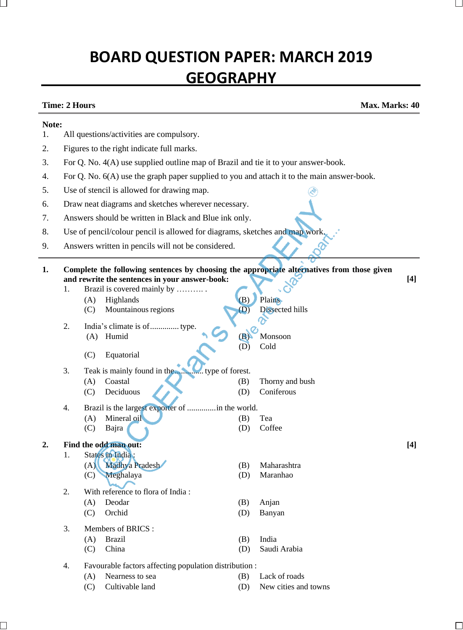# **BOARD QUESTION PAPER: MARCH 2019 GEOGRAPHY**

**Time: 2 Hours Max. Marks: 40**

#### **Note:**

- 1. All questions/activities are compulsory.
- 2. Figures to the right indicate full marks.
- 3. For Q. No. 4(A) use supplied outline map of Brazil and tie it to your answer-book.
- 4. For Q. No. 6(A) use the graph paper supplied to you and attach it to the main answer-book.
- 5. Use of stencil is allowed for drawing map.
- 6. Draw neat diagrams and sketches wherever necessary.
- 7. Answers should be written in Black and Blue ink only.
- 8. Use of pencil/colour pencil is allowed for diagrams, sketches and map work.
- 9. Answers written in pencils will not be considered.

**1. Complete the following sentences by choosing the appropriate alternatives from those given and rewrite the sentences in your answer-book: [4]** 1. Brazil is covered mainly by ………. .

(D) Cold

- (A) Highlands (B) Plains (C) Mountainous regions (D) Dissected hills
- 2. India's climate is of.............. type. (A) Humid (B) Monsoon
	- (C) Equatorial

# 3. Teak is mainly found in the.............. type of forest.

- (A) Coastal (B) Thorny and bush (C) Deciduous (D) Coniferous
- 4. Brazil is the largest exporter of ..............in the world.
	- (A) Mineral oil (B) Tea (C) Bajra (D) Coffee
	-
- **2. Find the odd man out:** 1. States in India :
	- (A) Madhya Pradesh (B) Maharashtra
		- (C) Meghalaya (D) Maranhao
		-
	- 2. With reference to flora of India :
		- (A) Deodar (B) Anjan
		- (C) Orchid (D) Banyan
	- 3. Members of BRICS :
		- (A) Brazil (B) India
		- (C) China (D) Saudi Arabia
	- 4. Favourable factors affecting population distribution :
		- (A) Nearness to sea (B) Lack of roads
			-
- 
- (C) Cultivable land (D) New cities and towns

**[4]**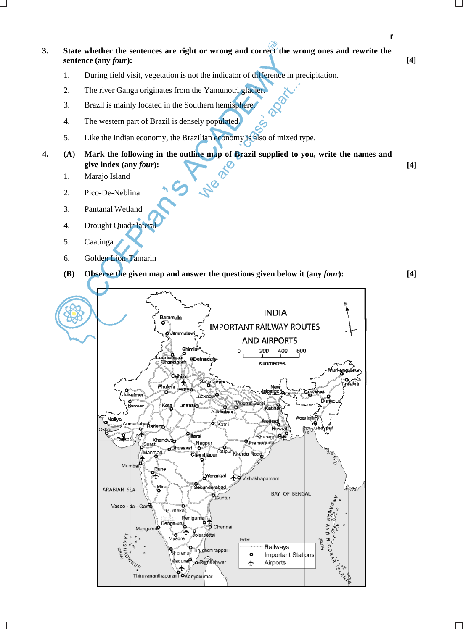**r**

- **3. State whether the sentences are right or wrong and correct the wrong ones and rewrite the sentence (any** *four***): [4]**
	- 1. During field visit, vegetation is not the indicator of difference in precipitation.
	- 2. The river Ganga originates from the Yamunotri glacier.
	- 3. Brazil is mainly located in the Southern hemisphere.
	- 4. The western part of Brazil is densely populated.
	- 5. Like the Indian economy, the Brazilian economy is also of mixed type.
- **4. (A) Mark the following in the outline map of Brazil supplied to you, write the names and give** index (any *four*):  $[4]$ 
	- 1. Marajo Island
	- 2. Pico-De-Neblina
	- 3. Pantanal Wetland
	- 4. Drought Quadrilateral
	- 5. Caatinga
	- 6. Golden Lion-Tamarin
	- **(B) Observe the given map and answer the questions given below it (any** *four***): [4]**

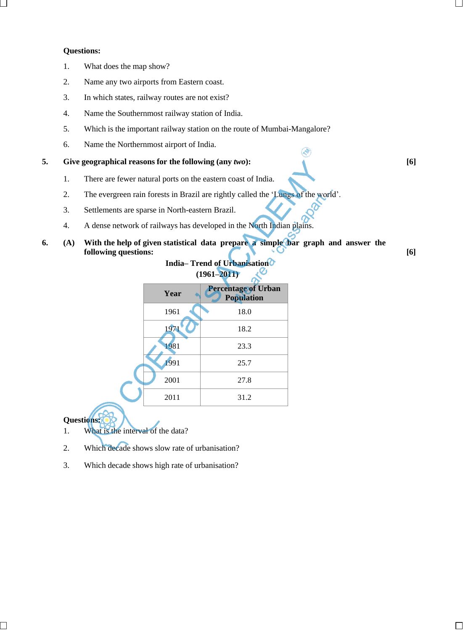### **Questions:**

- 1. What does the map show?
- 2. Name any two airports from Eastern coast.
- 3. In which states, railway routes are not exist?
- 4. Name the Southernmost railway station of India.
- 5. Which is the important railway station on the route of Mumbai-Mangalore?
- 6. Name the Northernmost airport of India.

## **5. Give geographical reasons for the following (any** *two***): [6]**

- 1. There are fewer natural ports on the eastern coast of India.
- 2. The evergreen rain forests in Brazil are rightly called the 'Lungs of the world'.
- 3. Settlements are sparse in North-eastern Brazil.
- 4. A dense network of railways has developed in the North Indian plains.
- **6. (A) With the help of given statistical data prepare a simple bar graph and answer the following questions:** [6]

#### **India– Trend of Urbanisation (1961–2011)** ىي

|  | Year | <b>Percentage of Urban</b><br><b>Population</b> |
|--|------|-------------------------------------------------|
|  | 1961 | 18.0                                            |
|  | 1971 | 18.2                                            |
|  | 1981 | 23.3                                            |
|  | 1991 | 25.7                                            |
|  | 2001 | 27.8                                            |
|  | 2011 | 31.2                                            |
|  |      |                                                 |

**Questions:**

- 1. What is the interval of the data?
- 2. Which decade shows slow rate of urbanisation?
- 3. Which decade shows high rate of urbanisation?